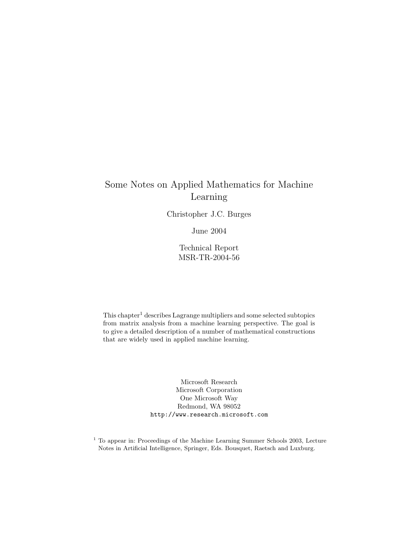# Some Notes on Applied Mathematics for Machine Learning

Christopher J.C. Burges

June 2004

Technical Report MSR-TR-2004-56

 $This chapter<sup>1</sup> describes Lagrange multipliers and some selected subtopics$ from matrix analysis from a machine learning perspective. The goal is to give a detailed description of a number of mathematical constructions that are widely used in applied machine learning.

> Microsoft Research Microsoft Corporation One Microsoft Way Redmond, WA 98052 http://www.research.microsoft.com

<sup>1</sup> To appear in: Proceedings of the Machine Learning Summer Schools 2003, Lecture Notes in Artificial Intelligence, Springer, Eds. Bousquet, Raetsch and Luxburg.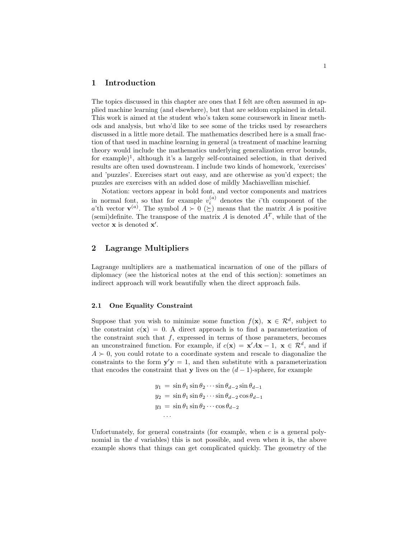## **1 Introduction**

The topics discussed in this chapter are ones that I felt are often assumed in applied machine learning (and elsewhere), but that are seldom explained in detail. This work is aimed at the student who's taken some coursework in linear methods and analysis, but who'd like to see some of the tricks used by researchers discussed in a little more detail. The mathematics described here is a small fraction of that used in machine learning in general (a treatment of machine learning theory would include the mathematics underlying generalization error bounds, for example)<sup>1</sup>, although it's a largely self-contained selection, in that derived results are often used downstream. I include two kinds of homework, 'exercises' and 'puzzles'. Exercises start out easy, and are otherwise as you'd expect; the puzzles are exercises with an added dose of mildly Machiavellian mischief.

Notation: vectors appear in bold font, and vector components and matrices in normal font, so that for example  $v_i^{(a)}$  denotes the *i*'th component of the a'th vector  $\mathbf{v}^{(a)}$ . The symbol  $A \succ 0$  ( $\succeq$ ) means that the matrix A is positive (semi)definite. The transpose of the matrix A is denoted  $A<sup>T</sup>$ , while that of the vector **x** is denoted **x** .

# **2 Lagrange Multipliers**

Lagrange multipliers are a mathematical incarnation of one of the pillars of diplomacy (see the historical notes at the end of this section): sometimes an indirect approach will work beautifully when the direct approach fails.

## **2.1 One Equality Constraint**

Suppose that you wish to minimize some function  $f(\mathbf{x})$ ,  $\mathbf{x} \in \mathbb{R}^d$ , subject to the constraint  $c(\mathbf{x}) = 0$ . A direct approach is to find a parameterization of the constraint such that  $f$ , expressed in terms of those parameters, becomes an unconstrained function. For example, if  $c(\mathbf{x}) = \mathbf{x}' A \mathbf{x} - 1$ ,  $\mathbf{x} \in \mathcal{R}^d$ , and if  $A \succ 0$ , you could rotate to a coordinate system and rescale to diagonalize the constraints to the form  $y'y = 1$ , and then substitute with a parameterization that encodes the constraint that **y** lives on the  $(d-1)$ -sphere, for example

$$
y_1 = \sin \theta_1 \sin \theta_2 \cdots \sin \theta_{d-2} \sin \theta_{d-1}
$$
  
\n
$$
y_2 = \sin \theta_1 \sin \theta_2 \cdots \sin \theta_{d-2} \cos \theta_{d-1}
$$
  
\n
$$
y_3 = \sin \theta_1 \sin \theta_2 \cdots \cos \theta_{d-2}
$$
  
\n...

Unfortunately, for general constraints (for example, when  $c$  is a general polynomial in the d variables) this is not possible, and even when it is, the above example shows that things can get complicated quickly. The geometry of the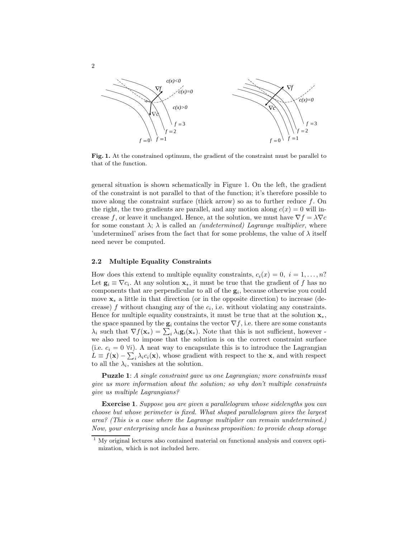

**Fig. 1.** At the constrained optimum, the gradient of the constraint must be parallel to that of the function.

general situation is shown schematically in Figure 1. On the left, the gradient of the constraint is not parallel to that of the function; it's therefore possible to move along the constraint surface (thick arrow) so as to further reduce  $f$ . On the right, the two gradients are parallel, and any motion along  $c(x) = 0$  will increase f, or leave it unchanged. Hence, at the solution, we must have  $\nabla f = \lambda \nabla c$ for some constant  $\lambda$ ;  $\lambda$  is called an *(undetermined) Lagrange multiplier*, where 'undetermined' arises from the fact that for some problems, the value of  $\lambda$  itself need never be computed.

## **2.2 Multiple Equality Constraints**

How does this extend to multiple equality constraints,  $c_i(x)=0, i = 1, \ldots, n$ ? Let  $\mathbf{g}_i \equiv \nabla c_i$ . At any solution  $\mathbf{x}_*$ , it must be true that the gradient of f has no components that are perpendicular to all of the  $g_i$ , because otherwise you could move **x**<sup>∗</sup> a little in that direction (or in the opposite direction) to increase (decrease)  $f$  without changing any of the  $c_i$ , i.e. without violating any constraints. Hence for multiple equality constraints, it must be true that at the solution  $\mathbf{x}_{*}$ , the space spanned by the  $\mathbf{g}_i$  contains the vector  $\nabla f$ , i.e. there are some constants  $\lambda_i$  such that  $\nabla f(\mathbf{x}_*) = \sum_i \lambda_i \mathbf{g}_i(\mathbf{x}_*)$ . Note that this is not sufficient, however we also need to impose that the solution is on the correct constraint surface (i.e.  $c_i = 0 \forall i$ ). A neat way to encapsulate this is to introduce the Lagrangian  $L \equiv f(\mathbf{x}) - \sum_i \lambda_i c_i(\mathbf{x})$ , whose gradient with respect to the **x**, and with respect to all the  $\lambda_i$ , vanishes at the solution.

**Puzzle 1**: *A single constraint gave us one Lagrangian; more constraints must give us more information about the solution; so why don't multiple constraints give us multiple Lagrangians?*

**Exercise 1**. *Suppose you are given a parallelogram whose sidelengths you can choose but whose perimeter is fixed. What shaped parallelogram gives the largest area? (This is a case where the Lagrange multiplier can remain undetermined.) Now, your enterprising uncle has a business proposition: to provide cheap storage*

 $1$  My original lectures also contained material on functional analysis and convex optimization, which is not included here.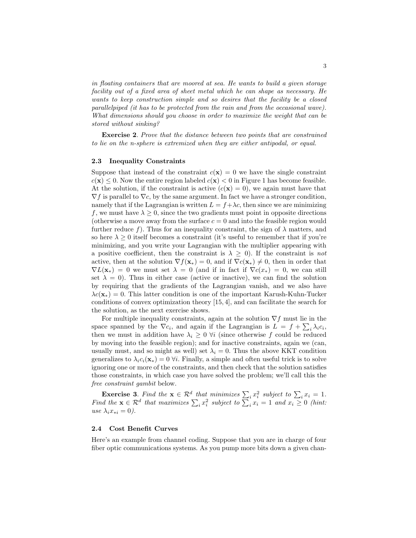*in floating containers that are moored at sea. He wants to build a given storage facility out of a fixed area of sheet metal which he can shape as necessary. He wants to keep construction simple and so desires that the facility be a closed parallelpiped (it has to be protected from the rain and from the occasional wave). What dimensions should you choose in order to maximize the weight that can be stored without sinking?*

**Exercise 2**. *Prove that the distance between two points that are constrained to lie on the n-sphere is extremized when they are either antipodal, or equal.*

## **2.3 Inequality Constraints**

Suppose that instead of the constraint  $c(\mathbf{x}) = 0$  we have the single constraint  $c(\mathbf{x}) \leq 0$ . Now the entire region labeled  $c(\mathbf{x}) < 0$  in Figure 1 has become feasible. At the solution, if the constraint is active  $(c(\mathbf{x}) = 0)$ , we again must have that  $\nabla f$  is parallel to  $\nabla c$ , by the same argument. In fact we have a stronger condition, namely that if the Lagrangian is written  $L = f + \lambda c$ , then since we are minimizing f, we must have  $\lambda \geq 0$ , since the two gradients must point in opposite directions (otherwise a move away from the surface  $c = 0$  and into the feasible region would further reduce f). Thus for an inequality constraint, the sign of  $\lambda$  matters, and so here  $\lambda \geq 0$  itself becomes a constraint (it's useful to remember that if you're minimizing, and you write your Lagrangian with the multiplier appearing with a positive coefficient, then the constraint is  $\lambda \geq 0$ ). If the constraint is *not* active, then at the solution  $\nabla f(\mathbf{x}_{*}) = 0$ , and if  $\nabla c(\mathbf{x}_{*}) \neq 0$ , then in order that  $\nabla L(\mathbf{x}_*) = 0$  we must set  $\lambda = 0$  (and if in fact if  $\nabla c(x_*) = 0$ , we can still set  $\lambda = 0$ ). Thus in either case (active or inactive), we can find the solution by requiring that the gradients of the Lagrangian vanish, and we also have  $\lambda c(\mathbf{x}_{*}) = 0$ . This latter condition is one of the important Karush-Kuhn-Tucker conditions of convex optimization theory [15, 4], and can facilitate the search for the solution, as the next exercise shows.

For multiple inequality constraints, again at the solution  $\nabla f$  must lie in the space spanned by the  $\nabla c_i$ , and again if the Lagrangian is  $L = f + \sum_i \lambda_i c_i$ , then we must in addition have  $\lambda_i \geq 0$   $\forall i$  (since otherwise f could be reduced by moving into the feasible region); and for inactive constraints, again we (can, usually must, and so might as well) set  $\lambda_i = 0$ . Thus the above KKT condition generalizes to  $\lambda_i c_i(\mathbf{x}_*)=0$   $\forall i$ . Finally, a simple and often useful trick is to solve ignoring one or more of the constraints, and then check that the solution satisfies those constraints, in which case you have solved the problem; we'll call this the *free constraint gambit* below.

**Exercise 3.** *Find the*  $\mathbf{x} \in \mathbb{R}^d$  *that minimizes*  $\sum_i x_i^2$  *subject to*  $\sum_i x_i = 1$ *. Find the*  $\mathbf{x} \in \mathbb{R}^d$  *that maximizes*  $\sum_i x_i^2$  *subject to*  $\sum_i x_i = 1$  *and*  $x_i \geq 0$  *(hint: use*  $\lambda_i x_{*i} = 0$ .

## **2.4 Cost Benefit Curves**

Here's an example from channel coding. Suppose that you are in charge of four fiber optic communications systems. As you pump more bits down a given chan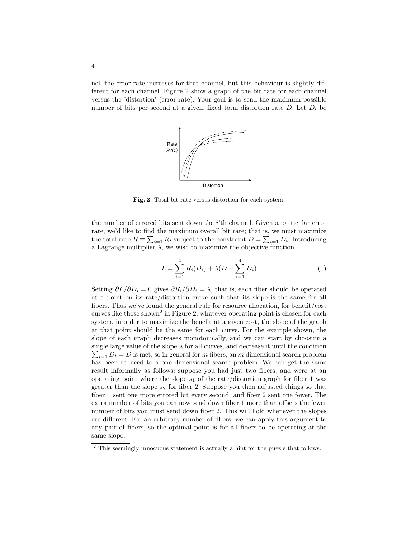nel, the error rate increases for that channel, but this behaviour is slightly different for each channel. Figure 2 show a graph of the bit rate for each channel versus the 'distortion' (error rate). Your goal is to send the maximum possible number of bits per second at a given, fixed total distortion rate  $D$ . Let  $D_i$  be



**Fig. 2.** Total bit rate versus distortion for each system.

the number of errored bits sent down the i'th channel. Given a particular error rate, we'd like to find the maximum overall bit rate; that is, we must maximize the total rate  $R \equiv \sum_{i=1} R_i$  subject to the constraint  $D = \sum_{i=1} D_i$ . Introducing a Lagrange multiplier  $\lambda$ , we wish to maximize the objective function

$$
L = \sum_{i=1}^{4} R_i(D_i) + \lambda (D - \sum_{i=1}^{4} D_i)
$$
 (1)

Setting  $\partial L/\partial D_i = 0$  gives  $\partial R_i/\partial D_i = \lambda$ , that is, each fiber should be operated at a point on its rate/distortion curve such that its slope is the same for all fibers. Thus we've found the general rule for resource allocation, for benefit/cost curves like those shown<sup>2</sup> in Figure 2: whatever operating point is chosen for each system, in order to maximize the benefit at a given cost, the slope of the graph at that point should be the same for each curve. For the example shown, the slope of each graph decreases monotonically, and we can start by choosing a  $\sum_{i=1} D_i = D$  is met, so in general for m fibers, an m dimensional search problem single large value of the slope  $\lambda$  for all curves, and decrease it until the condition has been reduced to a one dimensional search problem. We can get the same result informally as follows: suppose you had just two fibers, and were at an operating point where the slope  $s_1$  of the rate/distortion graph for fiber 1 was greater than the slope  $s_2$  for fiber 2. Suppose you then adjusted things so that fiber 1 sent one more errored bit every second, and fiber 2 sent one fewer. The extra number of bits you can now send down fiber 1 more than offsets the fewer number of bits you must send down fiber 2. This will hold whenever the slopes are different. For an arbitrary number of fibers, we can apply this argument to any pair of fibers, so the optimal point is for all fibers to be operating at the same slope.

<sup>&</sup>lt;sup>2</sup> This seemingly innocuous statement is actually a hint for the puzzle that follows.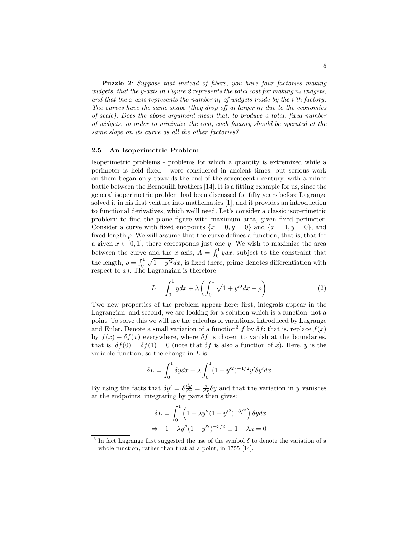**Puzzle 2**: *Suppose that instead of fibers, you have four factories making widgets, that the y-axis in Figure 2 represents the total cost for making*  $n_i$  *widgets, and that the x-axis represents the number*  $n_i$  *of widgets made by the i'th factory. The curves have the same shape (they drop off at larger*  $n_i$  *due to the economies of scale). Does the above argument mean that, to produce a total, fixed number of widgets, in order to minimize the cost, each factory should be operated at the same slope on its curve as all the other factories?*

#### **2.5 An Isoperimetric Problem**

Isoperimetric problems - problems for which a quantity is extremized while a perimeter is held fixed - were considered in ancient times, but serious work on them began only towards the end of the seventeenth century, with a minor battle between the Bernouilli brothers [14]. It is a fitting example for us, since the general isoperimetric problem had been discussed for fifty years before Lagrange solved it in his first venture into mathematics [1], and it provides an introduction to functional derivatives, which we'll need. Let's consider a classic isoperimetric problem: to find the plane figure with maximum area, given fixed perimeter. Consider a curve with fixed endpoints  $\{x = 0, y = 0\}$  and  $\{x = 1, y = 0\}$ , and fixed length  $\rho$ . We will assume that the curve defines a function, that is, that for a given  $x \in [0, 1]$ , there corresponds just one y. We wish to maximize the area between the curve and the x axis,  $A = \int_0^1 y dx$ , subject to the constraint that the length,  $\rho = \int_0^1 \sqrt{1 + y'^2} dx$ , is fixed (here, prime denotes differentiation with respect to  $x$ ). The Lagrangian is therefore

$$
L = \int_0^1 y dx + \lambda \left( \int_0^1 \sqrt{1 + y'^2} dx - \rho \right) \tag{2}
$$

Two new properties of the problem appear here: first, integrals appear in the Lagrangian, and second, we are looking for a solution which is a function, not a point. To solve this we will use the calculus of variations, introduced by Lagrange and Euler. Denote a small variation of a function<sup>3</sup> f by  $\delta f$ : that is, replace  $f(x)$ by  $f(x) + \delta f(x)$  everywhere, where  $\delta f$  is chosen to vanish at the boundaries, that is,  $\delta f(0) = \delta f(1) = 0$  (note that  $\delta f$  is also a function of x). Here, y is the variable function, so the change in L is

$$
\delta L = \int_0^1 \delta y dx + \lambda \int_0^1 (1 + y'^2)^{-1/2} y' \delta y' dx
$$

By using the facts that  $\delta y' = \delta \frac{dy}{dx} = \frac{d}{dx} \delta y$  and that the variation in y vanishes at the endpoints, integrating by parts then gives:

$$
\delta L = \int_0^1 \left( 1 - \lambda y'' (1 + y'^2)^{-3/2} \right) \delta y dx
$$
  
\n
$$
\Rightarrow 1 - \lambda y'' (1 + y'^2)^{-3/2} \equiv 1 - \lambda \kappa = 0
$$

<sup>&</sup>lt;sup>3</sup> In fact Lagrange first suggested the use of the symbol  $\delta$  to denote the variation of a whole function, rather than that at a point, in 1755 [14].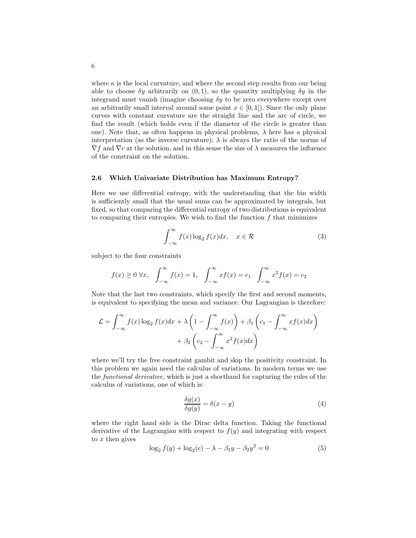where  $\kappa$  is the local curvature, and where the second step results from our being able to choose  $\delta y$  arbitrarily on  $(0, 1)$ , so the quantity multiplying  $\delta y$  in the integrand must vanish (imagine choosing  $\delta y$  to be zero everywhere except over an arbitrarily small interval around some point  $x \in [0,1]$ ). Since the only plane curves with constant curvature are the straight line and the arc of circle, we find the result (which holds even if the diameter of the circle is greater than one). Note that, as often happens in physical problems,  $\lambda$  here has a physical interpretation (as the inverse curvature);  $\lambda$  is always the ratio of the norms of  $\nabla f$  and  $\nabla c$  at the solution, and in this sense the size of  $\lambda$  measures the influence of the constraint on the solution.

## **2.6 Which Univariate Distribution has Maximum Entropy?**

Here we use differential entropy, with the understanding that the bin width is sufficiently small that the usual sums can be approximated by integrals, but fixed, so that comparing the differential entropy of two distributions is equivalent to comparing their entropies. We wish to find the function  $f$  that minimizes

$$
\int_{-\infty}^{\infty} f(x) \log_2 f(x) dx, \quad x \in \mathcal{R}
$$
 (3)

subject to the four constraints

$$
f(x) \ge 0 \ \forall x, \quad \int_{-\infty}^{\infty} f(x) = 1, \quad \int_{-\infty}^{\infty} x f(x) = c_1 \quad \int_{-\infty}^{\infty} x^2 f(x) = c_2
$$

Note that the last two constraints, which specify the first and second moments, is equivalent to specifying the mean and variance. Our Lagrangian is therefore:

$$
\mathcal{L} = \int_{-\infty}^{\infty} f(x) \log_2 f(x) dx + \lambda \left( 1 - \int_{-\infty}^{\infty} f(x) \right) + \beta_1 \left( c_1 - \int_{-\infty}^{\infty} x f(x) dx \right) + \beta_2 \left( c_2 - \int_{-\infty}^{\infty} x^2 f(x) dx \right)
$$

where we'll try the free constraint gambit and skip the positivity constraint. In this problem we again need the calculus of variations. In modern terms we use the *functional derivative*, which is just a shorthand for capturing the rules of the calculus of variations, one of which is:

$$
\frac{\delta g(x)}{\delta g(y)} = \delta(x - y) \tag{4}
$$

where the right hand side is the Dirac delta function. Taking the functional derivative of the Lagrangian with respect to  $f(y)$  and integrating with respect to  $x$  then gives

$$
\log_2 f(y) + \log_2(e) - \lambda - \beta_1 y - \beta_2 y^2 = 0 \tag{5}
$$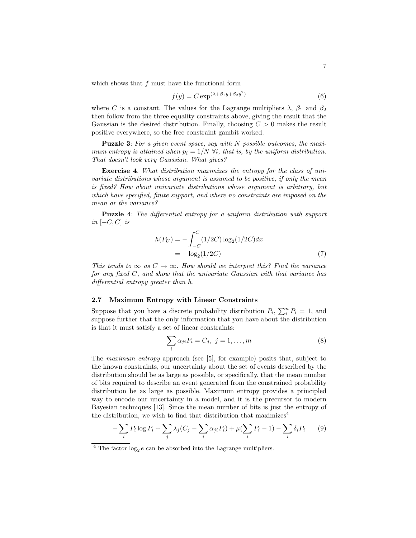which shows that  $f$  must have the functional form

$$
f(y) = C \exp^{(\lambda + \beta_1 y + \beta_2 y^2)} \tag{6}
$$

where C is a constant. The values for the Lagrange multipliers  $\lambda$ ,  $\beta_1$  and  $\beta_2$ then follow from the three equality constraints above, giving the result that the Gaussian is the desired distribution. Finally, choosing  $C > 0$  makes the result positive everywhere, so the free constraint gambit worked.

**Puzzle 3**: *For a given event space, say with* N *possible outcomes, the maximum entropy is attained when*  $p_i = 1/N$   $\forall i$ *, that is, by the uniform distribution. That doesn't look very Gaussian. What gives?*

**Exercise 4**. *What distribution maximizes the entropy for the class of univariate distributions whose argument is assumed to be positive, if only the mean is fixed? How about univariate distributions whose argument is arbitrary, but which have specified, finite support, and where no constraints are imposed on the mean or the variance?*

**Puzzle 4**: *The differential entropy for a uniform distribution with support in*  $|-C, C|$  *is* 

$$
h(P_U) = -\int_{-C}^{C} (1/2C) \log_2(1/2C) dx
$$
  
= -\log\_2(1/2C) (7)

*This tends to*  $\infty$  *as*  $C \rightarrow \infty$ *. How should we interpret this? Find the variance for any fixed* C*, and show that the univariate Gaussian with that variance has differential entropy greater than* h*.*

## **2.7 Maximum Entropy with Linear Constraints**

Suppose that you have a discrete probability distribution  $P_i$ ,  $\sum_i^n P_i = 1$ , and suppose further that the only information that you have about the distribution is that it must satisfy a set of linear constraints:

$$
\sum_{i} \alpha_{ji} P_i = C_j, \ j = 1, \dots, m \tag{8}
$$

The *maximum entropy* approach (see [5], for example) posits that, subject to the known constraints, our uncertainty about the set of events described by the distribution should be as large as possible, or specifically, that the mean number of bits required to describe an event generated from the constrained probability distribution be as large as possible. Maximum entropy provides a principled way to encode our uncertainty in a model, and it is the precursor to modern Bayesian techniques [13]. Since the mean number of bits is just the entropy of the distribution, we wish to find that distribution that maximizes<sup>4</sup>

$$
-\sum_{i} P_i \log P_i + \sum_{j} \lambda_j (C_j - \sum_{i} \alpha_{ji} P_i) + \mu (\sum_{i} P_i - 1) - \sum_{i} \delta_i P_i \qquad (9)
$$

<sup>&</sup>lt;sup>4</sup> The factor  $log_2 e$  can be absorbed into the Lagrange multipliers.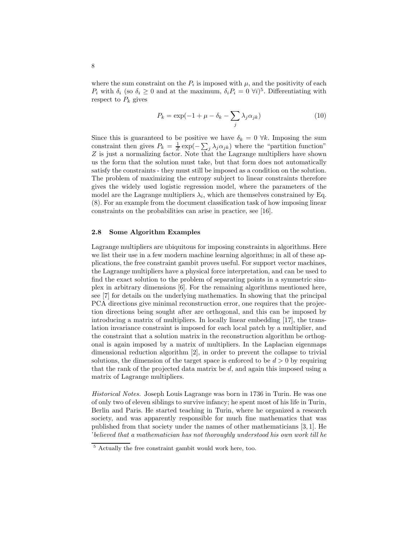where the sum constraint on the  $P_i$  is imposed with  $\mu$ , and the positivity of each  $P_i$  with  $\delta_i$  (so  $\delta_i \geq 0$  and at the maximum,  $\delta_i P_i = 0 \ \forall i$ )<sup>5</sup>. Differentiating with respect to  $P_k$  gives

$$
P_k = \exp(-1 + \mu - \delta_k - \sum_j \lambda_j \alpha_{jk})
$$
\n(10)

Since this is guaranteed to be positive we have  $\delta_k = 0 \ \forall k$ . Imposing the sum constraint then gives  $P_k = \frac{1}{Z} \exp(-\sum_j \lambda_j \alpha_{jk})$  where the "partition function" Z is just a normalizing factor. Note that the Lagrange multipliers have shown us the form that the solution must take, but that form does not automatically satisfy the constraints - they must still be imposed as a condition on the solution. The problem of maximizing the entropy subject to linear constraints therefore gives the widely used logistic regression model, where the parameters of the model are the Lagrange multipliers  $\lambda_i$ , which are themselves constrained by Eq. (8). For an example from the document classification task of how imposing linear constraints on the probabilities can arise in practice, see [16].

## **2.8 Some Algorithm Examples**

Lagrange multipliers are ubiquitous for imposing constraints in algorithms. Here we list their use in a few modern machine learning algorithms; in all of these applications, the free constraint gambit proves useful. For support vector machines, the Lagrange multipliers have a physical force interpretation, and can be used to find the exact solution to the problem of separating points in a symmetric simplex in arbitrary dimensions [6]. For the remaining algorithms mentioned here, see [7] for details on the underlying mathematics. In showing that the principal PCA directions give minimal reconstruction error, one requires that the projection directions being sought after are orthogonal, and this can be imposed by introducing a matrix of multipliers. In locally linear embedding [17], the translation invariance constraint is imposed for each local patch by a multiplier, and the constraint that a solution matrix in the reconstruction algorithm be orthogonal is again imposed by a matrix of multipliers. In the Laplacian eigenmaps dimensional reduction algorithm [2], in order to prevent the collapse to trivial solutions, the dimension of the target space is enforced to be  $d > 0$  by requiring that the rank of the projected data matrix be  $d$ , and again this imposed using a matrix of Lagrange multipliers.

*Historical Notes.* Joseph Louis Lagrange was born in 1736 in Turin. He was one of only two of eleven siblings to survive infancy; he spent most of his life in Turin, Berlin and Paris. He started teaching in Turin, where he organized a research society, and was apparently responsible for much fine mathematics that was published from that society under the names of other mathematicians [3, 1]. He '*believed that a mathematician has not thoroughly understood his own work till he*

 $\frac{5}{5}$  Actually the free constraint gambit would work here, too.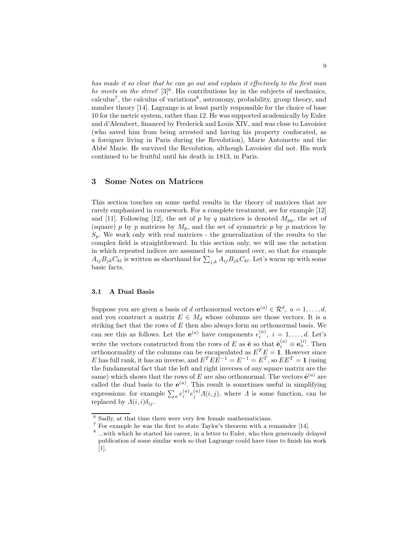*has made it so clear that he can go out and explain it effectively to the first man he meets on the street*' [3]<sup>6</sup>. His contributions lay in the subjects of mechanics,  $\alpha$  calculus<sup>7</sup>, the calculus of variations<sup>8</sup>, astronomy, probability, group theory, and number theory [14]. Lagrange is at least partly responsible for the choice of base 10 for the metric system, rather than 12. He was supported academically by Euler and d'Alembert, financed by Frederick and Louis XIV, and was close to Lavoisier (who saved him from being arrested and having his property confiscated, as a foreigner living in Paris during the Revolution), Marie Antoinette and the Abb´e Marie. He survived the Revolution, although Lavoisier did not. His work continued to be fruitful until his death in 1813, in Paris.

## **3 Some Notes on Matrices**

This section touches on some useful results in the theory of matrices that are rarely emphasized in coursework. For a complete treatment, see for example [12] and [11]. Following [12], the set of p by q matrices is denoted  $M_{pq}$ , the set of (square) p by p matrices by  $M_p$ , and the set of symmetric p by p matrices by  $S_p$ . We work only with real matrices - the generalization of the results to the complex field is straightforward. In this section only, we will use the notation in which repeated indices are assumed to be summed over, so that for example  $A_{ij}B_{jk}C_{kl}$  is written as shorthand for  $\sum_{i,k}A_{ij}B_{jk}C_{kl}$ . Let's warm up with some basic facts.

## **3.1 A Dual Basis**

Suppose you are given a basis of d orthonormal vectors  $e^{(a)} \in \mathcal{R}^d$ ,  $a = 1, \ldots, d$ , and you construct a matrix  $E \in M_d$  whose columns are those vectors. It is a striking fact that the rows of  $E$  then also always form an orthonormal basis. We can see this as follows. Let the  $e^{(a)}$  have components  $e^{(a)}_i$ ,  $i = 1, \ldots, d$ . Let's write the vectors constructed from the rows of E as  $\hat{\mathbf{e}}$  so that  $\hat{\mathbf{e}}_i^{(a)} \equiv \mathbf{e}_a^{(i)}$ . Then orthonormality of the columns can be encapsulated as  $E^T E = \mathbf{1}$ . However since E has full rank, it has an inverse, and  $E^{T} E E^{-1} = E^{-1} = E^{T}$ , so  $E E^{T} = 1$  (using the fundamental fact that the left and right inverses of any square matrix are the same) which shows that the rows of E are also orthonormal. The vectors  $\hat{\mathbf{e}}^{(a)}$  are called the dual basis to the  $e^{(a)}$ . This result is sometimes useful in simplifying expressions: for example  $\sum_{a} e_i^{(a)} e_j^{(a)} \Lambda(i,j)$ , where  $\Lambda$  is some function, can be replaced by  $\Lambda(i,i)\delta_{ij}$ .

 $6$  Sadly, at that time there were very few female mathematicians.

<sup>7</sup> For example he was the first to state Taylor's theorem with a remainder [14].

<sup>8</sup> ...with which he started his career, in a letter to Euler, who then generously delayed publication of some similar work so that Lagrange could have time to finish his work [1].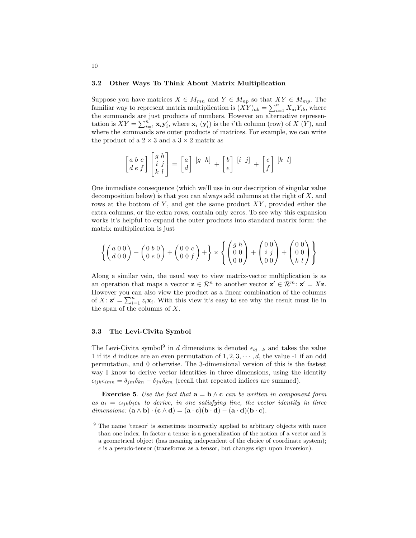#### **3.2 Other Ways To Think About Matrix Multiplication**

Suppose you have matrices  $X \in M_{mn}$  and  $Y \in M_{np}$  so that  $XY \in M_{mp}$ . The familiar way to represent matrix multiplication is  $(XY)_{ab} = \sum_{i=1}^{n} X_{ai} Y_{ib}$ , where the summands are just products of numbers. However an alternative representation is  $XY = \sum_{i=1}^{n} \mathbf{x}_i \mathbf{y}'_i$ , where  $\mathbf{x}_i$  ( $\mathbf{y}'_i$ ) is the *i*'th column (row) of X (Y), and where the summands are outer products of matrices. For example, we can write the product of a  $2 \times 3$  and a  $3 \times 2$  matrix as

$$
\begin{bmatrix} a & b & c \\ d & e & f \end{bmatrix} \begin{bmatrix} g & h \\ i & j \\ k & l \end{bmatrix} = \begin{bmatrix} a \\ d \end{bmatrix} \begin{bmatrix} g & h \end{bmatrix} + \begin{bmatrix} b \\ e \end{bmatrix} \begin{bmatrix} i & j \end{bmatrix} + \begin{bmatrix} c \\ f \end{bmatrix} \begin{bmatrix} k & l \end{bmatrix}
$$

One immediate consequence (which we'll use in our description of singular value decomposition below) is that you can always add columns at the right of  $X$ , and rows at the bottom of Y, and get the same product  $XY$ , provided either the extra columns, or the extra rows, contain only zeros. To see why this expansion works it's helpful to expand the outer products into standard matrix form: the matrix multiplication is just

$$
\left\{ \begin{pmatrix} a & 0 & 0 \\ d & 0 & 0 \end{pmatrix} + \begin{pmatrix} 0 & b & 0 \\ 0 & e & 0 \end{pmatrix} + \begin{pmatrix} 0 & 0 & c \\ 0 & 0 & f \end{pmatrix} + \right\} \times \left\{ \begin{pmatrix} g & h \\ 0 & 0 \\ 0 & 0 \end{pmatrix} + \begin{pmatrix} 0 & 0 \\ i & j \\ 0 & 0 \end{pmatrix} + \begin{pmatrix} 0 & 0 \\ 0 & 0 \\ k & l \end{pmatrix} \right\}
$$

Along a similar vein, the usual way to view matrix-vector multiplication is as an operation that maps a vector  $z \in \mathbb{R}^n$  to another vector  $z' \in \mathbb{R}^m$ :  $z' = Xz$ . However you can also view the product as a linear combination of the columns of  $X: \mathbf{z}' = \sum_{i=1}^{n} z_i \mathbf{x}_i$ . With this view it's easy to see why the result must lie in the span of the columns of  $X$ .

## **3.3 The Levi-Civita Symbol**

The Levi-Civita symbol<sup>9</sup> in d dimensions is denoted  $\epsilon_{ij\cdots k}$  and takes the value 1 if its d indices are an even permutation of  $1, 2, 3, \cdots, d$ , the value -1 if an odd permutation, and 0 otherwise. The 3-dimensional version of this is the fastest way I know to derive vector identities in three dimensions, using the identity  $\epsilon_{ijk}\epsilon_{imn} = \delta_{jm}\delta_{kn} - \delta_{jn}\delta_{km}$  (recall that repeated indices are summed).

**Exercise 5**. *Use the fact that*  $\mathbf{a} = \mathbf{b} \wedge \mathbf{c}$  *can be written in component form* as  $a_i = \epsilon_{ijk} b_j c_k$  to derive, in one satisfying line, the vector identity in three *dimensions:*  $(\mathbf{a} \wedge \mathbf{b}) \cdot (\mathbf{c} \wedge \mathbf{d}) = (\mathbf{a} \cdot \mathbf{c})(\mathbf{b} \cdot \mathbf{d}) - (\mathbf{a} \cdot \mathbf{d})(\mathbf{b} \cdot \mathbf{c})$ .

<sup>&</sup>lt;sup>9</sup> The name 'tensor' is sometimes incorrectly applied to arbitrary objects with more than one index. In factor a tensor is a generalization of the notion of a vector and is a geometrical object (has meaning independent of the choice of coordinate system);

 $\epsilon$  is a pseudo-tensor (transforms as a tensor, but changes sign upon inversion).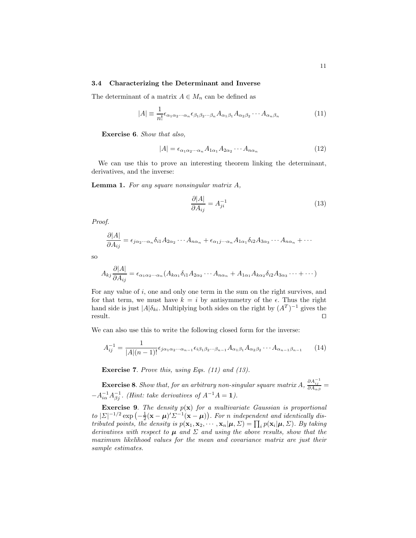#### **3.4 Characterizing the Determinant and Inverse**

The determinant of a matrix  $A \in M_n$  can be defined as

$$
|A| \equiv \frac{1}{n!} \epsilon_{\alpha_1 \alpha_2 \cdots \alpha_n} \epsilon_{\beta_1 \beta_2 \cdots \beta_n} A_{\alpha_1 \beta_1} A_{\alpha_2 \beta_2} \cdots A_{\alpha_n \beta_n}
$$
(11)

**Exercise 6**. *Show that also,*

$$
|A| = \epsilon_{\alpha_1 \alpha_2 \cdots \alpha_n} A_{1\alpha_1} A_{2\alpha_2} \cdots A_{n\alpha_n}
$$
 (12)

We can use this to prove an interesting theorem linking the determinant, derivatives, and the inverse:

**Lemma 1.** *For any square nonsingular matrix* A*,*

$$
\frac{\partial |A|}{\partial A_{ij}} = A_{ji}^{-1} \tag{13}
$$

*Proof.*

$$
\frac{\partial |A|}{\partial A_{ij}} = \epsilon_{j\alpha_2\cdots\alpha_n} \delta_{i1} A_{2\alpha_2} \cdots A_{n\alpha_n} + \epsilon_{\alpha_1 j\cdots\alpha_n} A_{1\alpha_1} \delta_{i2} A_{3\alpha_3} \cdots A_{n\alpha_n} + \cdots
$$

so

$$
A_{kj}\frac{\partial |A|}{\partial A_{ij}} = \epsilon_{\alpha_1\alpha_2\cdots\alpha_n} (A_{k\alpha_1}\delta_{i1}A_{2\alpha_2}\cdots A_{n\alpha_n} + A_{1\alpha_1}A_{k\alpha_2}\delta_{i2}A_{3\alpha_3}\cdots + \cdots)
$$

For any value of i, one and only one term in the sum on the right survives, and for that term, we must have  $k = i$  by antisymmetry of the  $\epsilon$ . Thus the right hand side is just  $|A|\delta_{ki}$ . Multiplying both sides on the right by  $(A^T)^{-1}$  gives the result. result.  $\square$ 

We can also use this to write the following closed form for the inverse:

$$
A_{ij}^{-1} = \frac{1}{|A|(n-1)!} \epsilon_{j\alpha_1\alpha_2\cdots\alpha_{n-1}} \epsilon_{i\beta_1\beta_2\cdots\beta_{n-1}} A_{\alpha_1\beta_1} A_{\alpha_2\beta_2} \cdots A_{\alpha_{n-1}\beta_{n-1}} \qquad (14)
$$

**Exercise 7**. *Prove this, using Eqs. (11) and (13).*

**Exercise 8**. *Show that, for an arbitrary non-singular square matrix*  $A$ ,  $\frac{\partial A_{ij}^{-1}}{\partial A_{\alpha\beta}}$  $-A_{i\alpha}^{-1}A_{\beta j}^{-1}$ . (Hint: take derivatives of  $A^{-1}A = 1$ ).

**Exercise 9**. *The density* p(**x**) *for a multivariate Gaussian is proportional to*  $|\Sigma|^{-1/2}$  exp  $\left(-\frac{1}{2}(\mathbf{x}-\boldsymbol{\mu})'\Sigma^{-1}(\mathbf{x}-\boldsymbol{\mu})\right)$ . For n independent and identically dis*tributed points, the density is*  $p(\mathbf{x}_1, \mathbf{x}_2, \dots, \mathbf{x}_n | \boldsymbol{\mu}, \Sigma) = \prod_i p(\mathbf{x}_i | \boldsymbol{\mu}, \Sigma)$ *. By taking derivatives with respect to*  $\mu$  *and*  $\Sigma$  *and using the above results, show that the maximum likelihood values for the mean and covariance matrix are just their sample estimates.*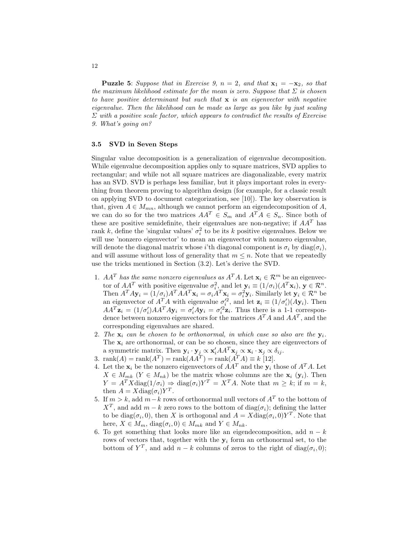**Puzzle 5**: *Suppose that in Exercise 9,*  $n = 2$ *, and that*  $\mathbf{x}_1 = -\mathbf{x}_2$ *, so that the maximum likelihood estimate for the mean is zero. Suppose that* Σ *is chosen to have positive determinant but such that* **x** *is an eigenvector with negative eigenvalue. Then the likelihood can be made as large as you like by just scaling* Σ *with a positive scale factor, which appears to contradict the results of Exercise 9. What's going on?*

## **3.5 SVD in Seven Steps**

Singular value decomposition is a generalization of eigenvalue decomposition. While eigenvalue decomposition applies only to square matrices, SVD applies to rectangular; and while not all square matrices are diagonalizable, every matrix has an SVD. SVD is perhaps less familiar, but it plays important roles in everything from theorem proving to algorithm design (for example, for a classic result on applying SVD to document categorization, see [10]). The key observation is that, given  $A \in M_{mn}$ , although we cannot perform an eigendecomposition of A, we can do so for the two matrices  $AA^T \in S_m$  and  $A^TA \in S_n$ . Since both of these are positive semidefinite, their eigenvalues are non-negative; if  $AA<sup>T</sup>$  has rank k, define the 'singular values'  $\sigma_i^2$  to be its k positive eigenvalues. Below we will use 'nonzero eigenvector' to mean an eigenvector with nonzero eigenvalue, will denote the diagonal matrix whose i'th diagonal component is  $\sigma_i$  by diag( $\sigma_i$ ), and will assume without loss of generality that  $m \leq n$ . Note that we repeatedly use the tricks mentioned in Section (3.2). Let's derive the SVD.

- 1.  $AA^T$  *has the same nonzero eigenvalues as*  $A^T A$ . Let  $\mathbf{x}_i \in \mathcal{R}^m$  be an eigenvector of  $AA^T$  with positive eigenvalue  $\sigma_i^2$ , and let  $\mathbf{y}_i \equiv (1/\sigma_i)(A^T \mathbf{x}_i), \mathbf{y} \in \mathbb{R}^n$ . Then  $A^T A \mathbf{y}_i = (1/\sigma_i) A^T A A^T \mathbf{x}_i = \sigma_i A^T \mathbf{x}_i = \sigma_i^2 \mathbf{y}_i$ . Similarly let  $\mathbf{y}_i \in \mathcal{R}^n$  be an eigenvector of  $A^T A$  with eigenvalue  $\sigma_i'^2$ , and let  $\mathbf{z}_i \equiv (1/\sigma_i')(A\mathbf{y}_i)$ . Then  $AA^T \mathbf{z}_i = (1/\sigma'_i)AA^T A \mathbf{y}_i = \sigma'_i A \mathbf{y}_i = \sigma'_i{}^2 \mathbf{z}_i$ . Thus there is a 1-1 correspondence between nonzero eigenvectors for the matrices  $A<sup>T</sup>A$  and  $AA<sup>T</sup>$ , and the corresponding eigenvalues are shared.
- 2. The  $\mathbf{x}_i$  can be chosen to be orthonormal, in which case so also are the  $\mathbf{y}_i$ . The  $x_i$  are orthonormal, or can be so chosen, since they are eigenvectors of a symmetric matrix. Then  $\mathbf{y}_i \cdot \mathbf{y}_j \propto \mathbf{x}_i' A A^T \mathbf{x}_j \propto \mathbf{x}_i \cdot \mathbf{x}_j \propto \delta_{ij}$ .
- 3. rank $(A) = \text{rank}(A^T) = \text{rank}(A^T) = \text{rank}(A^T A) = k$  [12].
- 4. Let the  $\mathbf{x}_i$  be the nonzero eigenvectors of  $AA^T$  and the  $\mathbf{y}_i$  those of  $A^T A$ . Let  $X \in M_{mk}$  ( $Y \in M_{nk}$ ) be the matrix whose columns are the  $\mathbf{x}_i$  ( $\mathbf{y}_i$ ). Then  $Y = A^T X \text{diag}(1/\sigma_i) \Rightarrow \text{diag}(\sigma_i) Y^T = X^T A$ . Note that  $m \geq k$ ; if  $m = k$ , then  $A = X \text{diag}(\sigma_i) Y^T$ .
- 5. If  $m > k$ , add  $m-k$  rows of orthonormal null vectors of  $A<sup>T</sup>$  to the bottom of  $X<sup>T</sup>$ , and add  $m - k$  zero rows to the bottom of diag( $\sigma_i$ ); defining the latter to be diag( $\sigma_i$ , 0), then X is orthogonal and  $A = X \text{diag}(\sigma_i, 0) Y^T$ . Note that here,  $X \in M_m$ , diag $(\sigma_i, 0) \in M_{mk}$  and  $Y \in M_{nk}$ .
- 6. To get something that looks more like an eigendecomposition, add  $n k$ rows of vectors that, together with the  $y_i$  form an orthonormal set, to the bottom of  $Y^T$ , and add  $n - k$  columns of zeros to the right of diag( $\sigma_i$ , 0);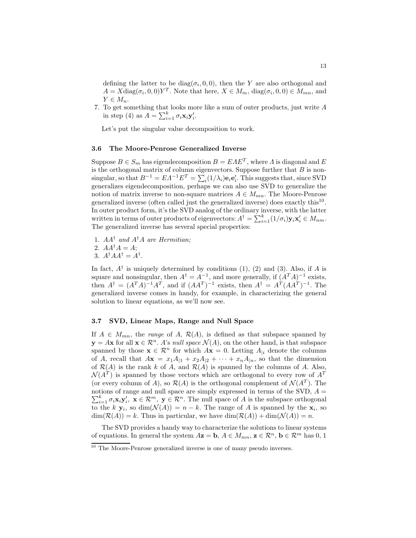defining the latter to be  $diag(\sigma_i, 0, 0)$ , then the Y are also orthogonal and  $A = X \text{diag}(\sigma_i, 0, 0) Y^T$ . Note that here,  $X \in M_m$ ,  $\text{diag}(\sigma_i, 0, 0) \in M_{mn}$ , and  $Y \in M_n$ .

7. To get something that looks more like a sum of outer products, just write A in step (4) as  $A = \sum_{i=1}^{k} \sigma_i \mathbf{x}_i \mathbf{y}'_i$ .

Let's put the singular value decomposition to work.

## **3.6 The Moore-Penrose Generalized Inverse**

Suppose  $B \in S_m$  has eigendecomposition  $B = EAE^T$ , where  $\Lambda$  is diagonal and  $E$ is the orthogonal matrix of column eigenvectors. Suppose further that  $B$  is nonsingular, so that  $B^{-1} = EA^{-1}E^{T} = \sum_{i}^{n} (1/\lambda_{i})\mathbf{e}_{i}\mathbf{e}'_{i}$ . This suggests that, since SVD generalizes eigendecomposition, perhaps we can also use SVD to generalize the notion of matrix inverse to non-square matrices  $A \in M_{mn}$ . The Moore-Penrose generalized inverse (often called just the generalized inverse) does exactly this<sup>10</sup>. In outer product form, it's the SVD analog of the ordinary inverse, with the latter written in terms of outer products of eigenvectors:  $A^{\dagger} = \sum_{i=1}^{k} (1/\sigma_i) \mathbf{y}_i \mathbf{x}'_i \in M_{nm}$ . The generalized inverse has several special properties:

1. AA† *and* A†A *are Hermitian;*

2. 
$$
AA^{\dagger}A=A;
$$

$$
3. A^{\dagger} A A^{\dagger} = A^{\dagger}.
$$

In fact,  $A^{\dagger}$  is uniquely determined by conditions (1), (2) and (3). Also, if A is square and nonsingular, then  $A^{\dagger} = A^{-1}$ , and more generally, if  $(A^T A)^{-1}$  exists, then  $A^{\dagger} = (A^T A)^{-1} A^T$ , and if  $(AA^T)^{-1}$  exists, then  $A^{\dagger} = A^T (A A^T)^{-1}$ . The generalized inverse comes in handy, for example, in characterizing the general solution to linear equations, as we'll now see.

## **3.7 SVD, Linear Maps, Range and Null Space**

If  $A \in M_{mn}$ , the *range* of A,  $\mathcal{R}(A)$ , is defined as that subspace spanned by  $y = Ax$  for all  $x \in \mathbb{R}^n$ . A's *null space*  $\mathcal{N}(A)$ , on the other hand, is that subspace spanned by those  $\mathbf{x} \in \mathbb{R}^n$  for which  $A\mathbf{x} = 0$ . Letting  $A_{i}$  denote the columns of A, recall that  $A\mathbf{x} = x_1A_{|1} + x_2A_{|2} + \cdots + x_nA_{|n}$ , so that the dimension of  $\mathcal{R}(A)$  is the rank k of A, and  $\mathcal{R}(A)$  is spanned by the columns of A. Also,  $\mathcal{N}(A^T)$  is spanned by those vectors which are orthogonal to every row of  $A^T$ (or every column of A), so  $\mathcal{R}(A)$  is the orthogonal complement of  $\mathcal{N}(A^T)$ . The notions of range and null space are simply expressed in terms of the SVD,  $A = \sum_{k=1}^{k} A_k$  $\sum_{i=1}^{k} \sigma_i \mathbf{x}_i \mathbf{y}'_i, \ \mathbf{x} \in \mathcal{R}^m, \ \mathbf{y} \in \mathcal{R}^n$ . The null space of A is the subspace orthogonal to the k **y**<sub>i</sub>, so dim( $\mathcal{N}(A)$ ) = n – k. The range of A is spanned by the **x**<sub>i</sub>, so  $\dim(\mathcal{R}(A)) = k$ . Thus in particular, we have  $\dim(\mathcal{R}(A)) + \dim(\mathcal{N}(A)) = n$ .

The SVD provides a handy way to characterize the solutions to linear systems of equations. In general the system  $A\mathbf{z} = \mathbf{b}, A \in M_{mn}, \mathbf{z} \in \mathcal{R}^n, \mathbf{b} \in \mathcal{R}^m$  has 0, 1

 $10$  The Moore-Penrose generalized inverse is one of many pseudo inverses.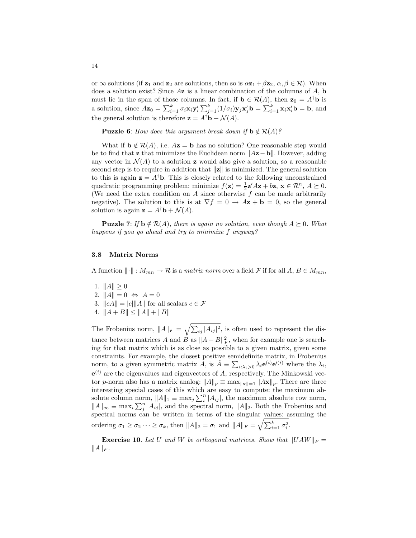or  $\infty$  solutions (if  $\mathbf{z}_1$  and  $\mathbf{z}_2$  are solutions, then so is  $\alpha \mathbf{z}_1 + \beta \mathbf{z}_2, \alpha, \beta \in \mathcal{R}$ ). When does a solution exist? Since A**z** is a linear combination of the columns of A, **b** must lie in the span of those columns. In fact, if  $\mathbf{b} \in \mathcal{R}(A)$ , then  $\mathbf{z}_0 = A^{\dagger} \mathbf{b}$  is a solution, since  $A\mathbf{z}_0 = \sum_{i=1}^k \sigma_i \mathbf{x}_i \mathbf{y}_i' \sum_{j=1}^k (1/\sigma_i) \mathbf{y}_j \mathbf{x}_j' \mathbf{b} = \sum_{i=1}^k \mathbf{x}_i \mathbf{x}_i' \mathbf{b} = \mathbf{b}$ , and the general solution is therefore  $\mathbf{z} = A^{\dagger} \mathbf{b} + \mathcal{N}(A)$ .

**Puzzle 6**: *How does this argument break down if*  $\mathbf{b} \notin \mathcal{R}(A)$ *?* 

What if  $\mathbf{b} \notin \mathcal{R}(A)$ , i.e.  $A\mathbf{z} = \mathbf{b}$  has no solution? One reasonable step would be to find that **z** that minimizes the Euclidean norm  $||A**z**−**b**||$ . However, adding any vector in  $\mathcal{N}(A)$  to a solution **z** would also give a solution, so a reasonable second step is to require in addition that  $\|\mathbf{z}\|$  is minimized. The general solution to this is again  $z = A^{\dagger}b$ . This is closely related to the following unconstrained quadratic programming problem: minimize  $f(\mathbf{z}) = \frac{1}{2}\mathbf{z}'A\mathbf{z} + b\mathbf{z}$ ,  $\mathbf{x} \in \mathbb{R}^n$ ,  $A \succeq 0$ . (We need the extra condition on  $A$  since otherwise  $f$  can be made arbitrarily negative). The solution to this is at  $\nabla f = 0 \rightarrow A\mathbf{z} + \mathbf{b} = 0$ , so the general solution is again  $\mathbf{z} = A^{\dagger} \mathbf{b} + \mathcal{N}(A)$ .

**Puzzle 7**: *If*  $\mathbf{b} \notin \mathcal{R}(A)$ *, there is again no solution, even though*  $A \succeq 0$ *. What happens if you go ahead and try to minimize* f *anyway?*

## **3.8 Matrix Norms**

A function  $\|\cdot\|: M_{mn} \to \mathcal{R}$  is a *matrix norm* over a field  $\mathcal{F}$  if for all  $A, B \in M_{mn}$ ,

- 1.  $||A|| \geq 0$
- 2.  $||A|| = 0 \Leftrightarrow A = 0$
- 3.  $\|cA\| = |c|\|A\|$  for all scalars  $c \in \mathcal{F}$
- 4.  $||A + B|| \le ||A|| + ||B||$

The Frobenius norm,  $||A||_F = \sqrt{\sum_{ij} |A_{ij}|^2}$ , is often used to represent the distance between matrices A and B as  $||A - B||_F^2$ , when for example one is searching for that matrix which is as close as possible to a given matrix, given some constraints. For example, the closest positive semidefinite matrix, in Frobenius norm, to a given symmetric matrix  $\hat{A}$ , is  $\hat{A} \equiv \sum_{i:\lambda_i>0} \lambda_i e^{(i)} e'^{(i)}$  where the  $\lambda_i$ ,  $e^{(i)}$  are the eigenvalues and eigenvectors of A, respectively. The Minkowski vector p-norm also has a matrix analog:  $||A||_p \equiv \max_{||\mathbf{x}||=1} ||A\mathbf{x}||_p$ . There are three interesting special cases of this which are easy to compute: the maximum absolute column norm,  $||A||_1 \equiv \max_j \sum_i^n |A_{ij}|$ , the maximum absolute row norm,  $||A||_{\infty} \equiv \max_i \sum_j^n |A_{ij}|$ , and the spectral norm,  $||A||_2$ . Both the Frobenius and spectral norms can be written in terms of the singular values: assuming the ordering  $\sigma_1 \ge \sigma_2 \cdots \ge \sigma_k$ , then  $||A||_2 = \sigma_1$  and  $||A||_F = \sqrt{\sum_{i=1}^k \sigma_i^2}$ .

**Exercise 10**. Let U and W be orthogonal matrices. Show that  $||UAW||_F =$  $||A||_F$ .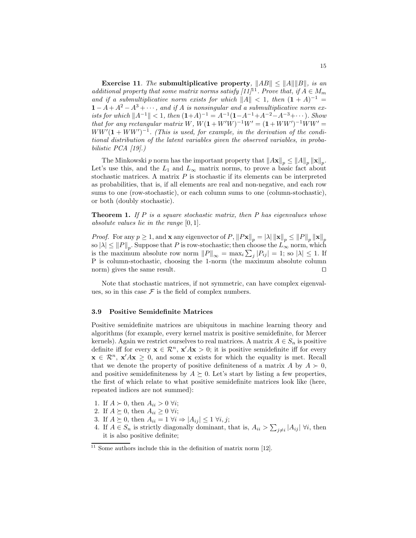**Exercise 11**. *The* **submultiplicative property***,*  $||AB|| \le ||A|| ||B||$ *, is an additional property that some matrix norms satisfy*  $[11]$ *<sup>11</sup><i>. Prove that, if*  $A \in M_m$ *and if a submultiplicative norm exists for which*  $||A|| < 1$ , then  $(1 + A)^{-1}$  $1 - A + A^2 - A^3 + \cdots$ , and if A is nonsingular and a submultiplicative norm ex*ists for which*  $||A^{-1}|| < 1$ *, then*  $(1+A)^{-1} = A^{-1}(1-A^{-1}+A^{-2}-A^{-3}+\cdots)$ *. Show that for any rectangular matrix*  $W$ *,*  $W(1 + W'W)^{-1}W' = (1 + WW')^{-1}WW' =$  $WW'(1 + WW')^{-1}$ . (This is used, for example, in the derivation of the condi*tional distribution of the latent variables given the observed variables, in probabilistic PCA [19].)*

The Minkowski p norm has the important property that  $||A\mathbf{x}||_p \leq ||A||_p ||\mathbf{x}||_p$ . Let's use this, and the  $L_1$  and  $L_{\infty}$  matrix norms, to prove a basic fact about stochastic matrices. A matrix  $P$  is stochastic if its elements can be interpreted as probabilities, that is, if all elements are real and non-negative, and each row sums to one (row-stochastic), or each column sums to one (column-stochastic), or both (doubly stochastic).

**Theorem 1.** *If* P *is a square stochastic matrix, then P has eigenvalues whose absolute values lie in the range* [0, 1]*.*

*Proof.* For any  $p \geq 1$ , and **x** any eigenvector of P,  $||Px||_p = |\lambda| ||\mathbf{x}||_p \leq ||P||_p ||\mathbf{x}||_p$ so  $|\lambda| \leq ||P||_p$ . Suppose that P is row-stochastic; then choose the  $L_{\infty}^{p}$  norm, which is the maximum absolute row norm  $||P||_{\infty} = \max_{i} \sum_{j} |P_{ij}| = 1$ ; so  $|\lambda| \leq 1$ . If P is column-stochastic, choosing the 1-norm (the maximum absolute column norm) gives the same result.

Note that stochastic matrices, if not symmetric, can have complex eigenvalues, so in this case  $\mathcal F$  is the field of complex numbers.

#### **3.9 Positive Semidefinite Matrices**

Positive semidefinite matrices are ubiquitous in machine learning theory and algorithms (for example, every kernel matrix is positive semidefinite, for Mercer kernels). Again we restrict ourselves to real matrices. A matrix  $A \in S_n$  is positive definite iff for every  $\mathbf{x} \in \mathcal{R}^n$ ,  $\mathbf{x}' A \mathbf{x} > 0$ ; it is positive semidefinite iff for every  $\mathbf{x} \in \mathcal{R}^n$ ,  $\mathbf{x}' A \mathbf{x} \geq 0$ , and some **x** exists for which the equality is met. Recall that we denote the property of positive definiteness of a matrix A by  $A \succ 0$ , and positive semidefiniteness by  $A \succeq 0$ . Let's start by listing a few properties, the first of which relate to what positive semidefinite matrices look like (here, repeated indices are not summed):

- 1. If  $A \succ 0$ , then  $A_{ii} > 0 \; \forall i$ ;
- 2. If  $A \succeq 0$ , then  $A_{ii} \geq 0$   $\forall i$ ;
- 3. If  $A \succeq 0$ , then  $A_{ii} = 1 \ \forall i \Rightarrow |A_{ij}| \leq 1 \ \forall i, j;$
- 4. If  $A \in S_n$  is strictly diagonally dominant, that is,  $A_{ii} > \sum_{j \neq i} |A_{ij}| \ \forall i$ , then it is also positive definite;

 $11$  Some authors include this in the definition of matrix norm [12].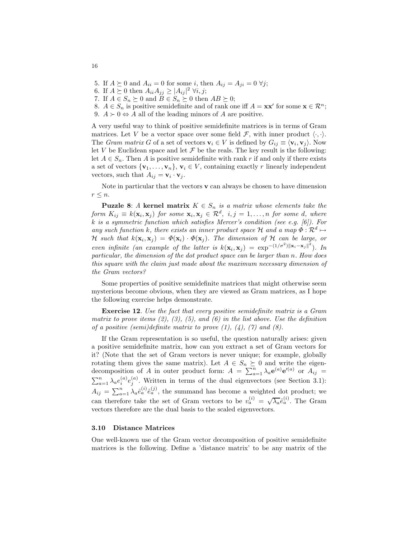- 5. If  $A \succeq 0$  and  $A_{ii} = 0$  for some i, then  $A_{ij} = A_{ji} = 0 \ \forall j;$
- 6. If  $A \succeq 0$  then  $A_{ii}A_{jj} \geq |A_{ij}|^2 \ \forall i, j;$
- 7. If  $A \in S_n \succeq 0$  and  $B \in S_n \succeq 0$  then  $AB \succeq 0$ ;
- 8.  $A \in S_n$  is positive semidefinite and of rank one iff  $A = \mathbf{x} \mathbf{x}'$  for some  $\mathbf{x} \in \mathbb{R}^n$ ;
- 9.  $A \succ 0 \Leftrightarrow A$  all of the leading minors of A are positive.

A very useful way to think of positive semidefinite matrices is in terms of Gram matrices. Let V be a vector space over some field  $\mathcal{F}$ , with inner product  $\langle \cdot, \cdot \rangle$ . The *Gram matrix* G of a set of vectors  $\mathbf{v}_i \in V$  is defined by  $G_{ij} \equiv \langle \mathbf{v}_i, \mathbf{v}_j \rangle$ . Now let V be Euclidean space and let  $\mathcal F$  be the reals. The key result is the following: let  $A \in S_n$ . Then A is positive semidefinite with rank r if and only if there exists a set of vectors  $\{v_1, \ldots, v_n\}, v_i \in V$ , containing exactly r linearly independent vectors, such that  $A_{ij} = \mathbf{v}_i \cdot \mathbf{v}_j$ .

Note in particular that the vectors **v** can always be chosen to have dimension  $r \leq n$ .

**Puzzle 8**: *A* **kernel matrix**  $K \in S_n$  *is a matrix whose elements take the form*  $K_{ij} \equiv k(\mathbf{x}_i, \mathbf{x}_j)$  *for some*  $\mathbf{x}_i, \mathbf{x}_j \in \mathcal{R}^d$ ,  $i, j = 1, \ldots, n$  *for some d*, *where* k *is a symmetric function which satisfies Mercer's condition (see e.g. [6]). For any such function* k, there exists an inner product space H and a map  $\Phi : \mathbb{R}^d \mapsto$ H such that  $k(\mathbf{x}_i, \mathbf{x}_j) = \Phi(\mathbf{x}_i) \cdot \Phi(\mathbf{x}_j)$ . The dimension of H can be large, or *even infinite (an example of the latter is*  $k(\mathbf{x}_i, \mathbf{x}_j) = \exp^{-(1/\sigma^2) ||\mathbf{x}_i - \mathbf{x}_j||^2}$ ). In *particular, the dimension of the dot product space can be larger than* n*. How does this square with the claim just made about the maximum necessary dimension of the Gram vectors?*

Some properties of positive semidefinite matrices that might otherwise seem mysterious become obvious, when they are viewed as Gram matrices, as I hope the following exercise helps demonstrate.

**Exercise 12**. *Use the fact that every positive semidefinite matrix is a Gram matrix to prove items (2), (3), (5), and (6) in the list above. Use the definition of a positive (semi)definite matrix to prove (1), (4), (7) and (8).*

If the Gram representation is so useful, the question naturally arises: given a positive semidefinite matrix, how can you extract a set of Gram vectors for it? (Note that the set of Gram vectors is never unique; for example, globally rotating them gives the same matrix). Let  $A \in S_n \succeq 0$  and write the eigen-<br>decomposition of A in outer product form:  $A = \sum_{a=1}^n \lambda_a e^{(a)} e^{i(a)}$  or  $A_{ij} =$  $\sum_{a=1}^{n} \lambda_a e_i^{(a)} e_j^{(a)}$ . Written in terms of the dual eigenvectors (see Section 3.1):  $A_{ij} = \sum_{a=1}^{n} \lambda_a \hat{e}_a^{(i)} \hat{e}_a^{(j)}$ , the summand has become a weighted dot product; we can therefore take the set of Gram vectors to be  $v_a^{(i)} = \sqrt{\lambda_a} \hat{e}_a^{(i)}$ . The Gram vectors therefore are the dual basis to the scaled eigenvectors.

#### **3.10 Distance Matrices**

One well-known use of the Gram vector decomposition of positive semidefinite matrices is the following. Define a 'distance matrix' to be any matrix of the

16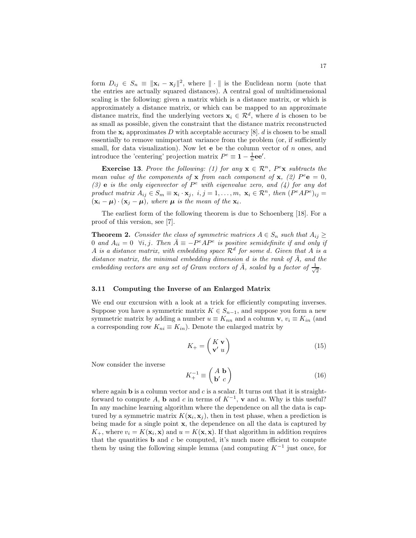form  $D_{ij} \in S_n \equiv ||\mathbf{x}_i - \mathbf{x}_j||^2$ , where  $|| \cdot ||$  is the Euclidean norm (note that the entries are actually squared distances). A central goal of multidimensional scaling is the following: given a matrix which is a distance matrix, or which is approximately a distance matrix, or which can be mapped to an approximate distance matrix, find the underlying vectors  $\mathbf{x}_i \in \mathcal{R}^d$ , where d is chosen to be as small as possible, given the constraint that the distance matrix reconstructed from the  $\mathbf{x}_i$  approximates D with acceptable accuracy [8]. d is chosen to be small essentially to remove unimportant variance from the problem (or, if sufficiently small, for data visualization). Now let  $e$  be the column vector of  $n$  ones, and introduce the 'centering' projection matrix  $P^e \equiv 1 - \frac{1}{n}$ **ee'**.

**Exercise 13.** Prove the following: (1) for any  $\mathbf{x} \in \mathbb{R}^n$ ,  $P^e\mathbf{x}$  subtracts the *mean value of the components of* **x** *from each component of* **x**, (2)  $P^e$ **e** = 0*, (3)* **e** *is the only eigenvector of* P<sup>e</sup> *with eigenvalue zero, and (4) for any dot product matrix*  $A_{ij} \in S_m \equiv \mathbf{x}_i \cdot \mathbf{x}_j$ ,  $i, j = 1, ..., m$ ,  $\mathbf{x}_i \in \mathcal{R}^n$ , then  $(P^e A P^e)_{ij} =$  $(\mathbf{x}_i - \boldsymbol{\mu}) \cdot (\mathbf{x}_j - \boldsymbol{\mu})$ , where  $\boldsymbol{\mu}$  is the mean of the  $\mathbf{x}_i$ .

The earliest form of the following theorem is due to Schoenberg [18]. For a proof of this version, see [7].

**Theorem 2.** *Consider the class of symmetric matrices*  $A \in S_n$  *such that*  $A_{ij} \geq$ 0 and  $A_{ii} = 0 \ \forall i, j$ . Then  $\overline{A} = -P^e A P^e$  is positive semidefinite if and only if A *is a distance matrix, with embedding space*  $\mathcal{R}^d$  *for some d. Given that* A *is a distance matrix, the minimal embedding dimension* d *is the rank of*  $\overline{A}$ *, and the embedding vectors are any set of Gram vectors of*  $\overline{A}$ *, scaled by a factor of*  $\frac{1}{\sqrt{2}}$ *.* 

## **3.11 Computing the Inverse of an Enlarged Matrix**

We end our excursion with a look at a trick for efficiently computing inverses. Suppose you have a symmetric matrix  $K \in S_{n-1}$ , and suppose you form a new symmetric matrix by adding a number  $u \equiv K_{nn}$  and a column **v**,  $v_i \equiv K_{in}$  (and a corresponding row  $K_{ni} \equiv K_{in}$ ). Denote the enlarged matrix by

$$
K_{+} = \begin{pmatrix} K \mathbf{v} \\ \mathbf{v}' \ u \end{pmatrix} \tag{15}
$$

Now consider the inverse

$$
K_{+}^{-1} \equiv \begin{pmatrix} A & \mathbf{b} \\ \mathbf{b}' & c \end{pmatrix} \tag{16}
$$

where again  $\bf{b}$  is a column vector and c is a scalar. It turns out that it is straightforward to compute A, **b** and c in terms of  $K^{-1}$ , **v** and u. Why is this useful? In any machine learning algorithm where the dependence on all the data is captured by a symmetric matrix  $K(\mathbf{x}_i, \mathbf{x}_j)$ , then in test phase, when a prediction is being made for a single point **x**, the dependence on all the data is captured by  $K_{+}$ , where  $v_i = K(\mathbf{x}_i, \mathbf{x})$  and  $u = K(\mathbf{x}, \mathbf{x})$ . If that algorithm in addition requires that the quantities  $\bf{b}$  and  $\bf{c}$  be computed, it's much more efficient to compute them by using the following simple lemma (and computing  $K^{-1}$  just once, for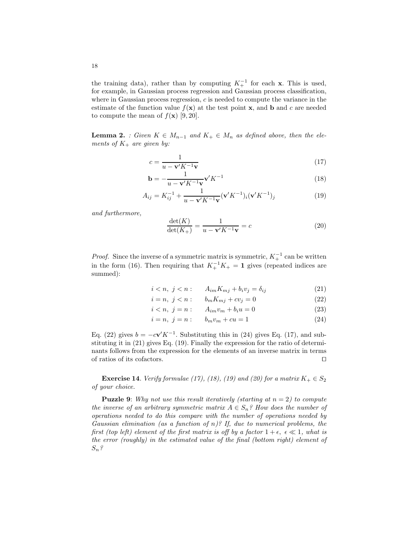the training data), rather than by computing  $K_+^{-1}$  for each **x**. This is used, for example, in Gaussian process regression and Gaussian process classification, where in Gaussian process regression,  $c$  is needed to compute the variance in the estimate of the function value  $f(\mathbf{x})$  at the test point **x**, and **b** and c are needed to compute the mean of  $f(\mathbf{x})$  [9, 20].

**Lemma 2.** *: Given*  $K \in M_{n-1}$  *and*  $K_+ \in M_n$  *as defined above, then the elements of*  $K_+$  *are given by:* 

$$
c = \frac{1}{u - \mathbf{v}' K^{-1} \mathbf{v}}\tag{17}
$$

$$
\mathbf{b} = -\frac{1}{u - \mathbf{v}' K^{-1} \mathbf{v}} \mathbf{v}' K^{-1}
$$
\n(18)

$$
A_{ij} = K_{ij}^{-1} + \frac{1}{u - \mathbf{v}' K^{-1} \mathbf{v}} (\mathbf{v}' K^{-1})_i (\mathbf{v}' K^{-1})_j
$$
(19)

*and furthermore,*

$$
\frac{\det(K)}{\det(K_+)} = \frac{1}{u - \mathbf{v}' K^{-1} \mathbf{v}} = c \tag{20}
$$

*Proof.* Since the inverse of a symmetric matrix is symmetric,  $K_+^{-1}$  can be written in the form (16). Then requiring that  $K_+^{-1}K_+ = 1$  gives (repeated indices are summed):

$$
i < n, \ j < n: \qquad A_{im} K_{mj} + b_i v_j = \delta_{ij} \tag{21}
$$

$$
i = n, \ j < n: \qquad b_m K_{mj} + c v_j = 0 \tag{22}
$$

$$
i < n, \ j = n: \qquad A_{im}v_m + b_i u = 0 \tag{23}
$$

$$
i = n, \ j = n: \qquad b_m v_m + c u = 1 \tag{24}
$$

Eq. (22) gives  $b = -c\mathbf{v}'K^{-1}$ . Substituting this in (24) gives Eq. (17), and substituting it in (21) gives Eq. (19). Finally the expression for the ratio of determinants follows from the expression for the elements of an inverse matrix in terms of ratios of its cofactors.  $\Box$ 

**Exercise 14.** *Verify formulae (17), (18), (19) and (20) for a matrix*  $K_+ \in S_2$ *of your choice.*

**Puzzle 9**: Why not use this result iteratively (starting at  $n = 2$ ) to compute *the inverse of an arbitrary symmetric matrix*  $A \in S_n$ ? How does the number of *operations needed to do this compare with the number of operations needed by Gaussian elimination (as a function of* n*)? If, due to numerical problems, the* first (top left) element of the first matrix is off by a factor  $1 + \epsilon$ ,  $\epsilon \ll 1$ , what is *the error (roughly) in the estimated value of the final (bottom right) element of* Sn*?*